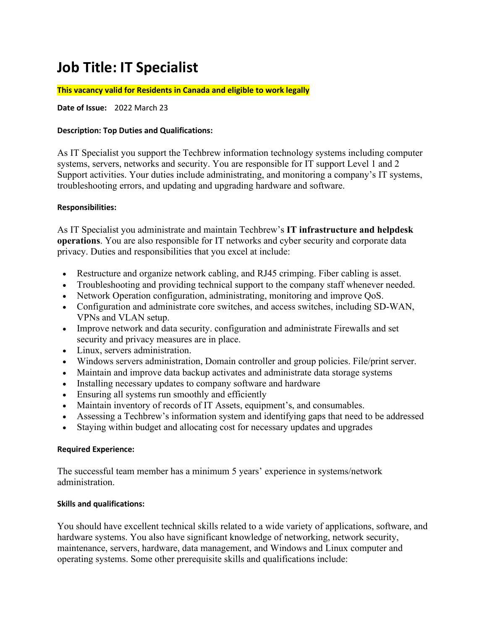# **Job Title: IT Specialist**

#### **This vacancy valid for Residents in Canada and eligible to work legally**

**Date of Issue:** 2022 March 23

## **Description: Top Duties and Qualifications:**

As IT Specialist you support the Techbrew information technology systems including computer systems, servers, networks and security. You are responsible for IT support Level 1 and 2 Support activities. Your duties include administrating, and monitoring a company's IT systems, troubleshooting errors, and updating and upgrading hardware and software.

## **Responsibilities:**

As IT Specialist you administrate and maintain Techbrew's **IT infrastructure and helpdesk operations**. You are also responsible for IT networks and cyber security and corporate data privacy. Duties and responsibilities that you excel at include:

- Restructure and organize network cabling, and RJ45 crimping. Fiber cabling is asset.
- Troubleshooting and providing technical support to the company staff whenever needed.
- Network Operation configuration, administrating, monitoring and improve QoS.
- Configuration and administrate core switches, and access switches, including SD-WAN, VPNs and VLAN setup.
- Improve network and data security. configuration and administrate Firewalls and set security and privacy measures are in place.
- Linux, servers administration.
- Windows servers administration, Domain controller and group policies. File/print server.
- Maintain and improve data backup activates and administrate data storage systems
- Installing necessary updates to company software and hardware
- Ensuring all systems run smoothly and efficiently
- Maintain inventory of records of IT Assets, equipment's, and consumables.
- Assessing a Techbrew's information system and identifying gaps that need to be addressed
- Staying within budget and allocating cost for necessary updates and upgrades

#### **Required Experience:**

The successful team member has a minimum 5 years' experience in systems/network administration.

#### **Skills and qualifications:**

You should have excellent technical skills related to a wide variety of applications, software, and hardware systems. You also have significant knowledge of networking, network security, maintenance, servers, hardware, data management, and Windows and Linux computer and operating systems. Some other prerequisite skills and qualifications include: